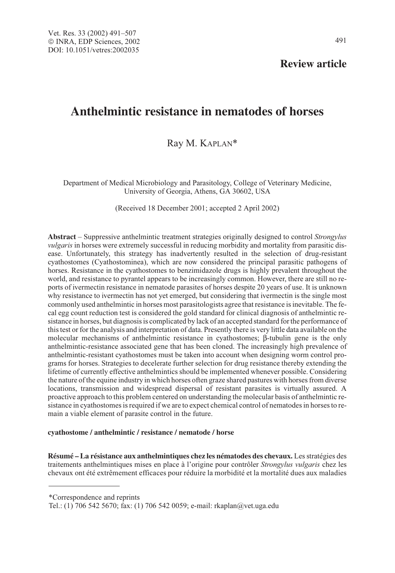**Review article**

# **Anthelmintic resistance in nematodes of horses**

# Ray M. KAPLAN\*

Department of Medical Microbiology and Parasitology, College of Veterinary Medicine, University of Georgia, Athens, GA 30602, USA

(Received 18 December 2001; accepted 2 April 2002)

**Abstract** – Suppressive anthelmintic treatment strategies originally designed to control Strongylus vulgaris in horses were extremely successful in reducing morbidity and mortality from parasitic disease. Unfortunately, this strategy has inadvertently resulted in the selection of drug-resistant cyathostomes (Cyathostominea), which are now considered the principal parasitic pathogens of horses. Resistance in the cyathostomes to benzimidazole drugs is highly prevalent throughout the world, and resistance to pyrantel appears to be increasingly common. However, there are still no reports of ivermectin resistance in nematode parasites of horses despite 20 years of use. It is unknown why resistance to ivermectin has not yet emerged, but considering that ivermectin is the single most commonly used anthelmintic in horses most parasitologists agree that resistance is inevitable. The fecal egg count reduction test is considered the gold standard for clinical diagnosis of anthelmintic resistance in horses, but diagnosis is complicated by lack of an accepted standard for the performance of this test or for the analysis and interpretation of data. Presently there is very little data available on the molecular mechanisms of anthelmintic resistance in cyathostomes; β-tubulin gene is the only anthelmintic-resistance associated gene that has been cloned. The increasingly high prevalence of anthelmintic-resistant cyathostomes must be taken into account when designing worm control programs for horses. Strategies to decelerate further selection for drug resistance thereby extending the lifetime of currently effective anthelmintics should be implemented whenever possible. Considering the nature of the equine industry in which horses often graze shared pastures with horses from diverse locations, transmission and widespread dispersal of resistant parasites is virtually assured. A proactive approach to this problem centered on understanding the molecular basis of anthelmintic resistance in cyathostomes is required if we are to expect chemical control of nematodes in horses to remain a viable element of parasite control in the future.

#### **cyathostome / anthelmintic / resistance / nematode / horse**

**Résumé – La résistance aux anthelmintiques chez les nématodes des chevaux.** Les stratégies des traitements anthelmintiques mises en place à l'origine pour contrôler Strongylus vulgaris chez les chevaux ont été extrêmement efficaces pour réduire la morbidité et la mortalité dues aux maladies

\*Correspondence and reprints

Tel.: (1) 706 542 5670; fax: (1) 706 542 0059; e-mail: rkaplan@vet.uga.edu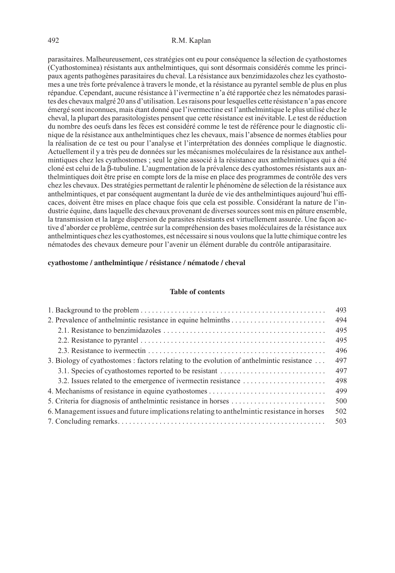#### 492 R.M. Kaplan

parasitaires. Malheureusement, ces stratégies ont eu pour conséquence la sélection de cyathostomes (Cyathostominea) résistants aux anthelmintiques, qui sont désormais considérés comme les principaux agents pathogènes parasitaires du cheval. La résistance aux benzimidazoles chez les cyathostomes a une très forte prévalence à travers le monde, et la résistance au pyrantel semble de plus en plus répandue. Cependant, aucune résistance à l'ivermectine n'a été rapportée chez les nématodes parasites des chevaux malgré 20 ans d'utilisation. Les raisons pour lesquelles cette résistance n'a pas encore émergé sont inconnues, mais étant donné que l'ivermectine est l'anthelmintique le plus utilisé chez le cheval, la plupart des parasitologistes pensent que cette résistance est inévitable. Le test de réduction du nombre des oeufs dans les fèces est considéré comme le test de référence pour le diagnostic clinique de la résistance aux anthelmintiques chez les chevaux, mais l'absence de normes établies pour la réalisation de ce test ou pour l'analyse et l'interprétation des données complique le diagnostic. Actuellement il y a très peu de données sur les mécanismes moléculaires de la résistance aux anthelmintiques chez les cyathostomes ; seul le gène associé à la résistance aux anthelmintiques qui a été cloné est celui de la β-tubuline. L'augmentation de la prévalence des cyathostomes résistants aux anthelmintiques doit être prise en compte lors de la mise en place des programmes de contrôle des vers chez les chevaux. Des stratégies permettant de ralentir le phénomène de sélection de la résistance aux anthelmintiques, et par conséquent augmentant la durée de vie des anthelmintiques aujourd'hui efficaces, doivent être mises en place chaque fois que cela est possible. Considérant la nature de l'industrie équine, dans laquelle des chevaux provenant de diverses sources sont mis en pâture ensemble, la transmission et la large dispersion de parasites résistants est virtuellement assurée. Une façon active d'aborder ce problème, centrée sur la compréhension des bases moléculaires de la résistance aux anthelmintiques chez les cyathostomes, est nécessaire si nous voulons que la lutte chimique contre les nématodes des chevaux demeure pour l'avenir un élément durable du contrôle antiparasitaire.

#### **cyathostome / anthelmintique / résistance / nématode / cheval**

#### **Table of contents**

|                                                                                            | 493 |
|--------------------------------------------------------------------------------------------|-----|
|                                                                                            | 494 |
|                                                                                            | 495 |
|                                                                                            | 495 |
|                                                                                            | 496 |
| 3. Biology of cyathostomes : factors relating to the evolution of anthelmintic resistance  | 497 |
| 3.1. Species of cyathostomes reported to be resistant                                      | 497 |
|                                                                                            | 498 |
|                                                                                            | 499 |
|                                                                                            | 500 |
| 6. Management issues and future implications relating to anthelmintic resistance in horses | 502 |
|                                                                                            | 503 |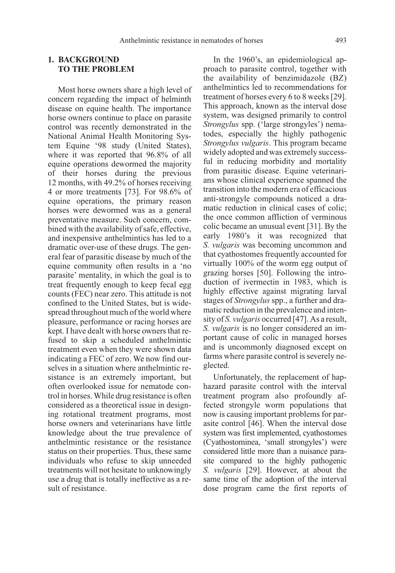## **1. BACKGROUND TO THE PROBLEM**

Most horse owners share a high level of concern regarding the impact of helminth disease on equine health. The importance horse owners continue to place on parasite control was recently demonstrated in the National Animal Health Monitoring System Equine '98 study (United States), where it was reported that 96.8% of all equine operations dewormed the majority of their horses during the previous 12 months, with 49.2% of horses receiving 4 or more treatments [73]. For 98.6% of equine operations, the primary reason horses were dewormed was as a general preventative measure. Such concern, combined with the availability of safe, effective, and inexpensive anthelmintics has led to a dramatic over-use of these drugs. The general fear of parasitic disease by much of the equine community often results in a 'no parasite' mentality, in which the goal is to treat frequently enough to keep fecal egg counts (FEC) near zero. This attitude is not confined to the United States, but is widespread throughout much of the world where pleasure, performance or racing horses are kept. I have dealt with horse owners that refused to skip a scheduled anthelmintic treatment even when they were shown data indicating a FEC of zero. We now find ourselves in a situation where anthelmintic resistance is an extremely important, but often overlooked issue for nematode control in horses. While drug resistance is often considered as a theoretical issue in designing rotational treatment programs, most horse owners and veterinarians have little knowledge about the true prevalence of anthelmintic resistance or the resistance status on their properties. Thus, these same individuals who refuse to skip unneeded treatments will not hesitate to unknowingly use a drug that is totally ineffective as a result of resistance.

In the 1960's, an epidemiological approach to parasite control, together with the availability of benzimidazole (BZ) anthelmintics led to recommendations for treatment of horses every 6 to 8 weeks [29]. This approach, known as the interval dose system, was designed primarily to control Strongylus spp. ('large strongyles') nematodes, especially the highly pathogenic Strongylus vulgaris. This program became widely adopted and was extremely successful in reducing morbidity and mortality from parasitic disease. Equine veterinarians whose clinical experience spanned the transition into the modern era of efficacious anti-strongyle compounds noticed a dramatic reduction in clinical cases of colic; the once common affliction of verminous colic became an unusual event [31]. By the early 1980's it was recognized that S. vulgaris was becoming uncommon and that cyathostomes frequently accounted for virtually 100% of the worm egg output of grazing horses [50]. Following the introduction of ivermectin in 1983, which is highly effective against migrating larval stages of Strongylus spp., a further and dramatic reduction in the prevalence and intensity of S. *vulgaris* occurred [47]. As a result, S. vulgaris is no longer considered an important cause of colic in managed horses and is uncommonly diagnosed except on farms where parasite control is severely neglected.

Unfortunately, the replacement of haphazard parasite control with the interval treatment program also profoundly affected strongyle worm populations that now is causing important problems for parasite control [46]. When the interval dose system was first implemented, cyathostomes (Cyathostominea, 'small strongyles') were considered little more than a nuisance parasite compared to the highly pathogenic S. vulgaris [29]. However, at about the same time of the adoption of the interval dose program came the first reports of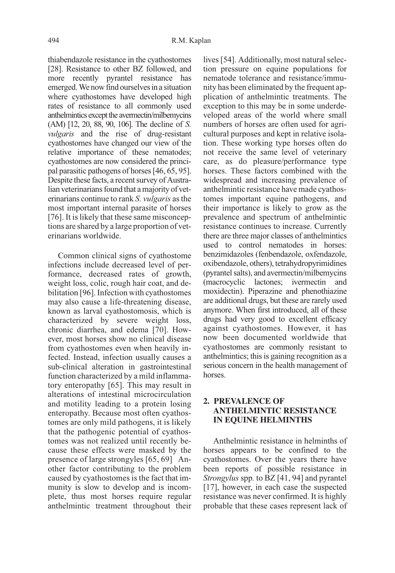thiabendazole resistance in the cyathostomes [28]. Resistance to other BZ followed, and more recently pyrantel resistance has emerged. We now find ourselves in a situation where cyathostomes have developed high rates of resistance to all commonly used anthelmintics except the avermectin/milbemycins (AM) [12, 20, 88, 90, 106]. The decline of S. vulgaris and the rise of drug-resistant cyathostomes have changed our view of the relative importance of these nematodes; cyathostomes are now considered the principal parasitic pathogens of horses [46, 65, 95]. Despite these facts, a recent survey of Australian veterinarians found that a majority of veterinarians continue to rank S. vulgaris as the most important internal parasite of horses [76]. It is likely that these same misconceptions are shared by a large proportion of veterinarians worldwide.

Common clinical signs of cyathostome infections include decreased level of performance, decreased rates of growth, weight loss, colic, rough hair coat, and debilitation [96]. Infection with cyathostomes may also cause a life-threatening disease, known as larval cyathostomosis, which is characterized by severe weight loss, chronic diarrhea, and edema [70]. However, most horses show no clinical disease from cyathostomes even when heavily infected. Instead, infection usually causes a sub-clinical alteration in gastrointestinal function characterized by a mild inflammatory enteropathy [65]. This may result in alterations of intestinal microcirculation and motility leading to a protein losing enteropathy. Because most often cyathostomes are only mild pathogens, it is likely that the pathogenic potential of cyathostomes was not realized until recently because these effects were masked by the presence of large strongyles [65, 69] Another factor contributing to the problem caused by cyathostomes is the fact that immunity is slow to develop and is incomplete, thus most horses require regular anthelmintic treatment throughout their lives [54]. Additionally, most natural selection pressure on equine populations for nematode tolerance and resistance/immunity has been eliminated by the frequent application of anthelmintic treatments. The exception to this may be in some underdeveloped areas of the world where small numbers of horses are often used for agricultural purposes and kept in relative isolation. These working type horses often do not receive the same level of veterinary care, as do pleasure/performance type horses. These factors combined with the widespread and increasing prevalence of anthelmintic resistance have made cyathostomes important equine pathogens, and their importance is likely to grow as the prevalence and spectrum of anthelmintic resistance continues to increase. Currently there are three major classes of anthelmintics used to control nematodes in horses: benzimidazoles (fenbendazole, oxfendazole, oxibendazole, others), tetrahydropyrimidines (pyrantel salts), and avermectin/milbemycins (macrocyclic lactones; ivermectin and moxidectin). Piperazine and phenothiazine are additional drugs, but these are rarely used anymore. When first introduced, all of these drugs had very good to excellent efficacy against cyathostomes. However, it has now been documented worldwide that cyathostomes are commonly resistant to anthelmintics; this is gaining recognition as a serious concern in the health management of horses.

## **2. PREVALENCE OF ANTHELMINTIC RESISTANCE IN EQUINE HELMINTHS**

Anthelmintic resistance in helminths of horses appears to be confined to the cyathostomes. Over the years there have been reports of possible resistance in Strongylus spp. to BZ [41, 94] and pyrantel [17], however, in each case the suspected resistance was never confirmed. It is highly probable that these cases represent lack of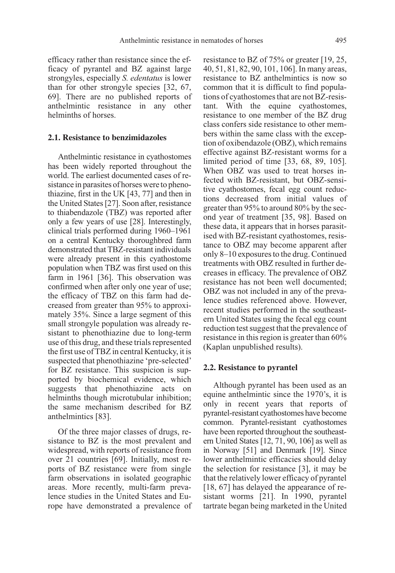efficacy rather than resistance since the efficacy of pyrantel and BZ against large strongyles, especially S. edentatus is lower than for other strongyle species [32, 67, 69]. There are no published reports of anthelmintic resistance in any other helminths of horses.

#### **2.1. Resistance to benzimidazoles**

Anthelmintic resistance in cyathostomes has been widely reported throughout the world. The earliest documented cases of resistance in parasites of horses were to phenothiazine, first in the UK [43, 77] and then in the United States [27]. Soon after, resistance to thiabendazole (TBZ) was reported after only a few years of use [28]. Interestingly, clinical trials performed during 1960–1961 on a central Kentucky thoroughbred farm demonstrated that TBZ-resistant individuals were already present in this cyathostome population when TBZ was first used on this farm in 1961 [36]. This observation was confirmed when after only one year of use; the efficacy of TBZ on this farm had decreased from greater than 95% to approximately 35%. Since a large segment of this small strongyle population was already resistant to phenothiazine due to long-term use of this drug, and these trials represented the first use of TBZ in central Kentucky, it is suspected that phenothiazine 'pre-selected' for BZ resistance. This suspicion is supported by biochemical evidence, which suggests that phenothiazine acts on helminths though microtubular inhibition; the same mechanism described for BZ anthelmintics [83].

Of the three major classes of drugs, resistance to BZ is the most prevalent and widespread, with reports of resistance from over 21 countries [69]. Initially, most reports of BZ resistance were from single farm observations in isolated geographic areas. More recently, multi-farm prevalence studies in the United States and Europe have demonstrated a prevalence of resistance to BZ of 75% or greater [19, 25, 40, 51, 81, 82, 90, 101, 106]. In many areas, resistance to BZ anthelmintics is now so common that it is difficult to find populations of cyathostomes that are not BZ-resistant. With the equine cyathostomes, resistance to one member of the BZ drug class confers side resistance to other members within the same class with the exception of oxibendazole (OBZ), which remains effective against BZ-resistant worms for a limited period of time [33, 68, 89, 105]. When OBZ was used to treat horses infected with BZ-resistant, but OBZ-sensitive cyathostomes, fecal egg count reductions decreased from initial values of greater than 95% to around 80% by the second year of treatment [35, 98]. Based on these data, it appears that in horses parasitised with BZ-resistant cyathostomes, resistance to OBZ may become apparent after only 8–10 exposures to the drug. Continued treatments with OBZ resulted in further decreases in efficacy. The prevalence of OBZ resistance has not been well documented; OBZ was not included in any of the prevalence studies referenced above. However, recent studies performed in the southeastern United States using the fecal egg count reduction test suggest that the prevalence of resistance in this region is greater than 60% (Kaplan unpublished results).

#### **2.2. Resistance to pyrantel**

Although pyrantel has been used as an equine anthelmintic since the 1970's, it is only in recent years that reports of pyrantel-resistant cyathostomes have become common. Pyrantel-resistant cyathostomes have been reported throughout the southeastern United States [12, 71, 90, 106] as well as in Norway [51] and Denmark [19]. Since lower anthelmintic efficacies should delay the selection for resistance [3], it may be that the relatively lower efficacy of pyrantel [18, 67] has delayed the appearance of resistant worms [21]. In 1990, pyrantel tartrate began being marketed in the United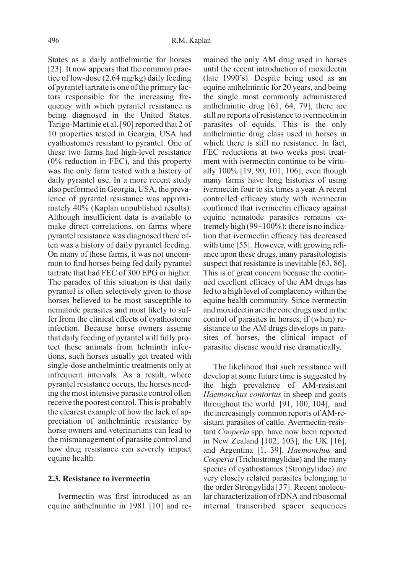States as a daily anthelmintic for horses [23]. It now appears that the common practice of low-dose (2.64 mg/kg) daily feeding of pyrantel tartrate is one of the primary factors responsible for the increasing frequency with which pyrantel resistance is being diagnosed in the United States. Tarigo-Martinie et al. [90] reported that 2 of 10 properties tested in Georgia, USA had cyathostomes resistant to pyrantel. One of these two farms had high-level resistance (0% reduction in FEC), and this property was the only farm tested with a history of daily pyrantel use. In a more recent study also performed in Georgia, USA, the prevalence of pyrantel resistance was approximately 40% (Kaplan unpublished results). Although insufficient data is available to make direct correlations, on farms where pyrantel resistance was diagnosed there often was a history of daily pyrantel feeding. On many of these farms, it was not uncommon to find horses being fed daily pyrantel tartrate that had FEC of 300 EPG or higher. The paradox of this situation is that daily pyrantel is often selectively given to those horses believed to be most susceptible to nematode parasites and most likely to suffer from the clinical effects of cyathostome infection. Because horse owners assume that daily feeding of pyrantel will fully protect these animals from helminth infections, such horses usually get treated with single-dose anthelmintic treatments only at infrequent intervals. As a result, where pyrantel resistance occurs, the horses needing the most intensive parasite control often receive the poorest control. This is probably the clearest example of how the lack of appreciation of anthelmintic resistance by horse owners and veterinarians can lead to the mismanagement of parasite control and how drug resistance can severely impact equine health.

#### **2.3. Resistance to ivermectin**

Ivermectin was first introduced as an equine anthelmintic in 1981 [10] and remained the only AM drug used in horses until the recent introduction of moxidectin (late 1990's). Despite being used as an equine anthelmintic for 20 years, and being the single most commonly administered anthelmintic drug [61, 64, 79], there are still no reports of resistance to ivermectin in parasites of equids. This is the only anthelmintic drug class used in horses in which there is still no resistance. In fact, FEC reductions at two weeks post treatment with ivermectin continue to be virtually 100% [19, 90, 101, 106], even though many farms have long histories of using ivermectin four to six times a year. A recent controlled efficacy study with ivermectin confirmed that ivermectin efficacy against equine nematode parasites remains extremely high (99–100%); there is no indication that ivermectin efficacy has decreased with time [55]. However, with growing reliance upon these drugs, many parasitologists suspect that resistance is inevitable [63, 86]. This is of great concern because the continued excellent efficacy of the AM drugs has led to a high level of complacency within the equine health community. Since ivermectin and moxidectin are the core drugs used in the control of parasites in horses, if (when) resistance to the AM drugs develops in parasites of horses, the clinical impact of parasitic disease would rise dramatically.

The likelihood that such resistance will develop at some future time is suggested by the high prevalence of AM-resistant Haemonchus contortus in sheep and goats throughout the world [91, 100, 104], and the increasingly common reports of AM-resistant parasites of cattle. Avermectin-resistant Cooperia spp. have now been reported in New Zealand [102, 103], the UK [16], and Argentina [1, 39]. Haemonchus and Cooperia (Trichostrongylidae) and the many species of cyathostomes (Strongylidae) are very closely related parasites belonging to the order Strongylida [37]. Recent molecular characterization of rDNA and ribosomal internal transcribed spacer sequences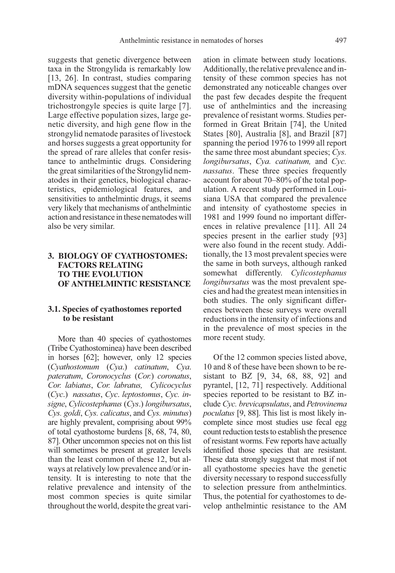suggests that genetic divergence between taxa in the Strongylida is remarkably low [13, 26]. In contrast, studies comparing mDNA sequences suggest that the genetic diversity within-populations of individual trichostrongyle species is quite large [7]. Large effective population sizes, large genetic diversity, and high gene flow in the strongylid nematode parasites of livestock and horses suggests a great opportunity for the spread of rare alleles that confer resistance to anthelmintic drugs. Considering the great similarities of the Strongylid nematodes in their genetics, biological characteristics, epidemiological features, and sensitivities to anthelmintic drugs, it seems very likely that mechanisms of anthelmintic action and resistance in these nematodes will also be very similar.

## **3. BIOLOGY OF CYATHOSTOMES: FACTORS RELATING TO THE EVOLUTION OF ANTHELMINTIC RESISTANCE**

## **3.1. Species of cyathostomes reported to be resistant**

More than 40 species of cyathostomes (Tribe Cyathostominea) have been described in horses [62]; however, only 12 species (Cyathostomum (Cya.) catinatum, Cya. pateratum, Coronocyclus (Cor.) coronatus, Cor. labiatus, Cor. labratus, Cylicocyclus (Cyc.) nassatus, Cyc. leptostomus, Cyc. insigne, Cylicostephanus (Cys.) longibursatus, Cys. goldi, Cys. calicatus, and Cys. minutus) are highly prevalent, comprising about 99% of total cyathostome burdens [8, 68, 74, 80, 87]. Other uncommon species not on this list will sometimes be present at greater levels than the least common of these 12, but always at relatively low prevalence and/or intensity. It is interesting to note that the relative prevalence and intensity of the most common species is quite similar throughout the world, despite the great variation in climate between study locations. Additionally, the relative prevalence and intensity of these common species has not demonstrated any noticeable changes over the past few decades despite the frequent use of anthelmintics and the increasing prevalence of resistant worms. Studies performed in Great Britain [74], the United States [80], Australia [8], and Brazil [87] spanning the period 1976 to 1999 all report the same three most abundant species; Cys. longibursatus, Cya. catinatum, and Cyc. nassatus. These three species frequently account for about 70–80% of the total population. A recent study performed in Louisiana USA that compared the prevalence and intensity of cyathostome species in 1981 and 1999 found no important differences in relative prevalence [11]. All 24 species present in the earlier study [93] were also found in the recent study. Additionally, the 13 most prevalent species were the same in both surveys, although ranked somewhat differently. Cylicostephanus longibursatus was the most prevalent species and had the greatest mean intensities in both studies. The only significant differences between these surveys were overall reductions in the intensity of infections and in the prevalence of most species in the more recent study.

Of the 12 common species listed above, 10 and 8 of these have been shown to be resistant to BZ [9, 34, 68, 88, 92] and pyrantel, [12, 71] respectively. Additional species reported to be resistant to BZ include Cyc. brevicapsulatus, and Petrovinema poculatus [9, 88]. This list is most likely incomplete since most studies use fecal egg count reduction tests to establish the presence of resistant worms. Few reports have actually identified those species that are resistant. These data strongly suggest that most if not all cyathostome species have the genetic diversity necessary to respond successfully to selection pressure from anthelmintics. Thus, the potential for cyathostomes to develop anthelmintic resistance to the AM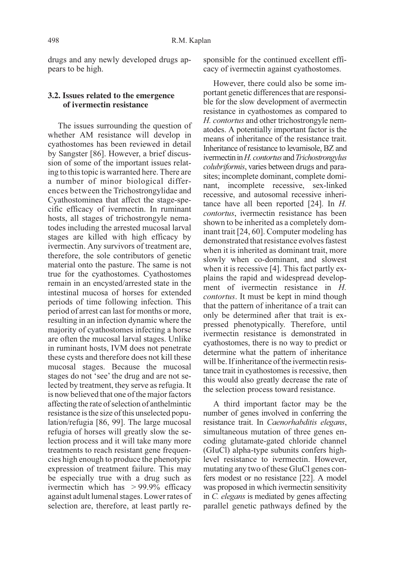drugs and any newly developed drugs appears to be high.

## **3.2. Issues related to the emergence of ivermectin resistance**

The issues surrounding the question of whether AM resistance will develop in cyathostomes has been reviewed in detail by Sangster [86]. However, a brief discussion of some of the important issues relating to this topic is warranted here. There are a number of minor biological differences between the Trichostrongylidae and Cyathostominea that affect the stage-specific efficacy of ivermectin. In ruminant hosts, all stages of trichostrongyle nematodes including the arrested mucosal larval stages are killed with high efficacy by ivermectin. Any survivors of treatment are, therefore, the sole contributors of genetic material onto the pasture. The same is not true for the cyathostomes. Cyathostomes remain in an encysted/arrested state in the intestinal mucosa of horses for extended periods of time following infection. This period of arrest can last for months or more, resulting in an infection dynamic where the majority of cyathostomes infecting a horse are often the mucosal larval stages. Unlike in ruminant hosts, IVM does not penetrate these cysts and therefore does not kill these mucosal stages. Because the mucosal stages do not 'see' the drug and are not selected by treatment, they serve as refugia. It is now believed that one of the major factors affecting the rate of selection of anthelmintic resistance is the size of this unselected population/refugia [86, 99]. The large mucosal refugia of horses will greatly slow the selection process and it will take many more treatments to reach resistant gene frequencies high enough to produce the phenotypic expression of treatment failure. This may be especially true with a drug such as ivermectin which has > 99.9% efficacy against adult lumenal stages. Lower rates of selection are, therefore, at least partly responsible for the continued excellent efficacy of ivermectin against cyathostomes.

However, there could also be some important genetic differences that are responsible for the slow development of avermectin resistance in cyathostomes as compared to H. contortus and other trichostrongyle nematodes. A potentially important factor is the means of inheritance of the resistance trait. Inheritance of resistance to levamisole, BZ and ivermectin in  $H$ . contortus and Trichostrongylus colubriformis, varies between drugs and parasites; incomplete dominant, complete dominant, incomplete recessive, sex-linked recessive, and autosomal recessive inheritance have all been reported [24]. In H. contortus, ivermectin resistance has been shown to be inherited as a completely dominant trait [24, 60]. Computer modeling has demonstrated that resistance evolves fastest when it is inherited as dominant trait, more slowly when co-dominant, and slowest when it is recessive [4]. This fact partly explains the rapid and widespread development of ivermectin resistance in H. contortus. It must be kept in mind though that the pattern of inheritance of a trait can only be determined after that trait is expressed phenotypically. Therefore, until ivermectin resistance is demonstrated in cyathostomes, there is no way to predict or determine what the pattern of inheritance will be. If inheritance of the ivermectin resistance trait in cyathostomes is recessive, then this would also greatly decrease the rate of the selection process toward resistance.

A third important factor may be the number of genes involved in conferring the resistance trait. In Caenorhabditis elegans, simultaneous mutation of three genes encoding glutamate-gated chloride channel (GIuCl) alpha-type subunits confers highlevel resistance to ivermectin. However, mutating any two of these GluCl genes confers modest or no resistance [22]. A model was proposed in which ivermectin sensitivity in C. elegans is mediated by genes affecting parallel genetic pathways defined by the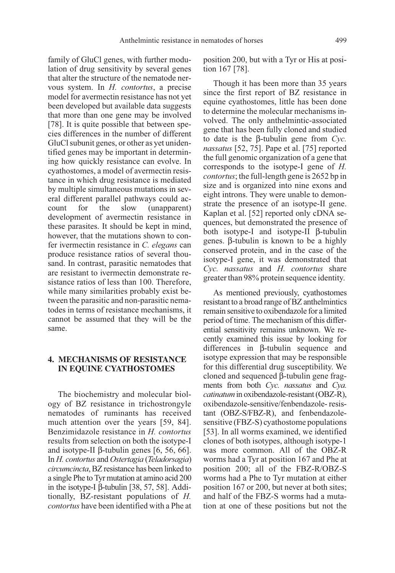family of GluCl genes, with further modulation of drug sensitivity by several genes that alter the structure of the nematode nervous system. In H. contortus, a precise model for avermectin resistance has not yet been developed but available data suggests that more than one gene may be involved [78]. It is quite possible that between species differences in the number of different GluCl subunit genes, or other as yet unidentified genes may be important in determining how quickly resistance can evolve. In cyathostomes, a model of avermectin resistance in which drug resistance is mediated by multiple simultaneous mutations in several different parallel pathways could account for the slow (unapparent) development of avermectin resistance in these parasites. It should be kept in mind, however, that the mutations shown to confer ivermectin resistance in C. elegans can produce resistance ratios of several thousand. In contrast, parasitic nematodes that are resistant to ivermectin demonstrate resistance ratios of less than 100. Therefore, while many similarities probably exist between the parasitic and non-parasitic nematodes in terms of resistance mechanisms, it cannot be assumed that they will be the same.

#### **4. MECHANISMS OF RESISTANCE IN EQUINE CYATHOSTOMES**

The biochemistry and molecular biology of BZ resistance in trichostrongyle nematodes of ruminants has received much attention over the years [59, 84]. Benzimidazole resistance in H. contortus results from selection on both the isotype-I and isotype-II β-tubulin genes [6, 56, 66]. In H. contortus and Ostertagia (Teladorsagia) circumcincta, BZ resistance has been linked to a single Phe to Tyr mutation at amino acid 200 in the isotype-I β-tubulin [38, 57, 58]. Additionally, BZ-resistant populations of H. contortus have been identified with a Phe at

position 200, but with a Tyr or His at position 167 [78].

Though it has been more than 35 years since the first report of BZ resistance in equine cyathostomes, little has been done to determine the molecular mechanisms involved. The only anthelmintic-associated gene that has been fully cloned and studied to date is the β-tubulin gene from Cyc. nassatus [52, 75]. Pape et al. [75] reported the full genomic organization of a gene that corresponds to the isotype-I gene of H. contortus; the full-length gene is 2652 bp in size and is organized into nine exons and eight introns. They were unable to demonstrate the presence of an isotype-II gene. Kaplan et al. [52] reported only cDNA sequences, but demonstrated the presence of both isotype-I and isotype-II β-tubulin genes. β-tubulin is known to be a highly conserved protein, and in the case of the isotype-I gene, it was demonstrated that Cyc. nassatus and H. contortus share greater than 98% protein sequence identity.

As mentioned previously, cyathostomes resistant to a broad range of BZ anthelmintics remain sensitive to oxibendazole for a limited period of time. The mechanism of this differential sensitivity remains unknown. We recently examined this issue by looking for differences in β-tubulin sequence and isotype expression that may be responsible for this differential drug susceptibility. We cloned and sequenced β-tubulin gene fragments from both Cyc. nassatus and Cya. catinatum in oxibendazole-resistant (OBZ-R), oxibendazole-sensitive/fenbendazole- resistant (OBZ-S/FBZ-R), and fenbendazolesensitive (FBZ-S) cyathostome populations [53]. In all worms examined, we identified clones of both isotypes, although isotype-1 was more common. All of the OBZ-R worms had a Tyr at position 167 and Phe at position 200; all of the FBZ-R/OBZ-S worms had a Phe to Tyr mutation at either position 167 or 200, but never at both sites; and half of the FBZ-S worms had a mutation at one of these positions but not the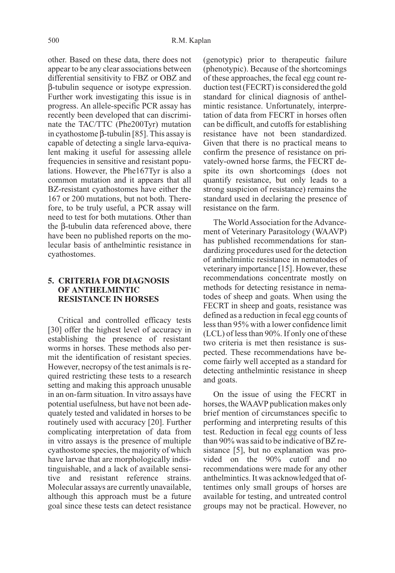other. Based on these data, there does not appear to be any clear associations between differential sensitivity to FBZ or OBZ and β-tubulin sequence or isotype expression. Further work investigating this issue is in progress. An allele-specific PCR assay has recently been developed that can discriminate the TAC/TTC (Phe200Tyr) mutation in cyathostome β-tubulin [85]. This assay is capable of detecting a single larva-equivalent making it useful for assessing allele frequencies in sensitive and resistant populations. However, the Phe167Tyr is also a common mutation and it appears that all BZ-resistant cyathostomes have either the 167 or 200 mutations, but not both. Therefore, to be truly useful, a PCR assay will need to test for both mutations. Other than the β-tubulin data referenced above, there have been no published reports on the molecular basis of anthelmintic resistance in cyathostomes.

## **5. CRITERIA FOR DIAGNOSIS OF ANTHELMINTIC RESISTANCE IN HORSES**

Critical and controlled efficacy tests [30] offer the highest level of accuracy in establishing the presence of resistant worms in horses. These methods also permit the identification of resistant species. However, necropsy of the test animals is required restricting these tests to a research setting and making this approach unusable in an on-farm situation. In vitro assays have potential usefulness, but have not been adequately tested and validated in horses to be routinely used with accuracy [20]. Further complicating interpretation of data from in vitro assays is the presence of multiple cyathostome species, the majority of which have larvae that are morphologically indistinguishable, and a lack of available sensitive and resistant reference strains. Molecular assays are currently unavailable, although this approach must be a future goal since these tests can detect resistance (genotypic) prior to therapeutic failure (phenotypic). Because of the shortcomings of these approaches, the fecal egg count reduction test (FECRT) is considered the gold standard for clinical diagnosis of anthelmintic resistance. Unfortunately, interpretation of data from FECRT in horses often can be difficult, and cutoffs for establishing resistance have not been standardized. Given that there is no practical means to confirm the presence of resistance on privately-owned horse farms, the FECRT despite its own shortcomings (does not quantify resistance, but only leads to a strong suspicion of resistance) remains the standard used in declaring the presence of resistance on the farm.

The World Association for the Advancement of Veterinary Parasitology (WAAVP) has published recommendations for standardizing procedures used for the detection of anthelmintic resistance in nematodes of veterinary importance [15]. However, these recommendations concentrate mostly on methods for detecting resistance in nematodes of sheep and goats. When using the FECRT in sheep and goats, resistance was defined as a reduction in fecal egg counts of less than 95% with a lower confidence limit (LCL) of less than 90%. If only one of these two criteria is met then resistance is suspected. These recommendations have become fairly well accepted as a standard for detecting anthelmintic resistance in sheep and goats.

On the issue of using the FECRT in horses, the WAAVP publication makes only brief mention of circumstances specific to performing and interpreting results of this test. Reduction in fecal egg counts of less than 90% was said to be indicative of BZ resistance [5], but no explanation was provided on the 90% cutoff and no recommendations were made for any other anthelmintics. It was acknowledged that oftentimes only small groups of horses are available for testing, and untreated control groups may not be practical. However, no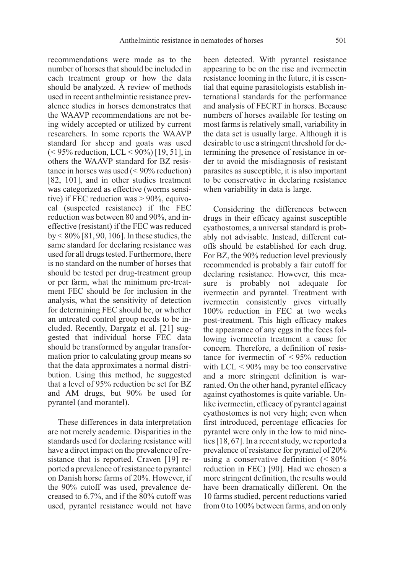recommendations were made as to the number of horses that should be included in each treatment group or how the data should be analyzed. A review of methods used in recent anthelmintic resistance prevalence studies in horses demonstrates that the WAAVP recommendations are not being widely accepted or utilized by current researchers. In some reports the WAAVP standard for sheep and goats was used (< 95% reduction, LCL < 90%) [19, 51], in others the WAAVP standard for BZ resistance in horses was used  $(< 90\%$  reduction) [82, 101], and in other studies treatment was categorized as effective (worms sensitive) if FEC reduction was > 90%, equivocal (suspected resistance) if the FEC reduction was between 80 and 90%, and ineffective (resistant) if the FEC was reduced by < 80% [81, 90, 106]. In these studies, the same standard for declaring resistance was used for all drugs tested. Furthermore, there is no standard on the number of horses that should be tested per drug-treatment group or per farm, what the minimum pre-treatment FEC should be for inclusion in the analysis, what the sensitivity of detection for determining FEC should be, or whether an untreated control group needs to be included. Recently, Dargatz et al. [21] suggested that individual horse FEC data should be transformed by angular transformation prior to calculating group means so that the data approximates a normal distribution. Using this method, he suggested that a level of 95% reduction be set for BZ and AM drugs, but 90% be used for pyrantel (and morantel).

These differences in data interpretation are not merely academic. Disparities in the standards used for declaring resistance will have a direct impact on the prevalence of resistance that is reported. Craven [19] reported a prevalence of resistance to pyrantel on Danish horse farms of 20%. However, if the 90% cutoff was used, prevalence decreased to 6.7%, and if the 80% cutoff was used, pyrantel resistance would not have

been detected. With pyrantel resistance appearing to be on the rise and ivermectin resistance looming in the future, it is essential that equine parasitologists establish international standards for the performance and analysis of FECRT in horses. Because numbers of horses available for testing on most farms is relatively small, variability in the data set is usually large. Although it is desirable to use a stringent threshold for determining the presence of resistance in order to avoid the misdiagnosis of resistant parasites as susceptible, it is also important to be conservative in declaring resistance when variability in data is large.

Considering the differences between drugs in their efficacy against susceptible cyathostomes, a universal standard is probably not advisable. Instead, different cutoffs should be established for each drug. For BZ, the 90% reduction level previously recommended is probably a fair cutoff for declaring resistance. However, this measure is probably not adequate for ivermectin and pyrantel. Treatment with ivermectin consistently gives virtually 100% reduction in FEC at two weeks post-treatment. This high efficacy makes the appearance of any eggs in the feces following ivermectin treatment a cause for concern. Therefore, a definition of resistance for ivermectin of  $\leq 95\%$  reduction with LCL < 90% may be too conservative and a more stringent definition is warranted. On the other hand, pyrantel efficacy against cyathostomes is quite variable. Unlike ivermectin, efficacy of pyrantel against cyathostomes is not very high; even when first introduced, percentage efficacies for pyrantel were only in the low to mid nineties [18, 67]. In a recent study, we reported a prevalence of resistance for pyrantel of 20% using a conservative definition  $($  < 80% reduction in FEC) [90]. Had we chosen a more stringent definition, the results would have been dramatically different. On the 10 farms studied, percent reductions varied from 0 to 100% between farms, and on only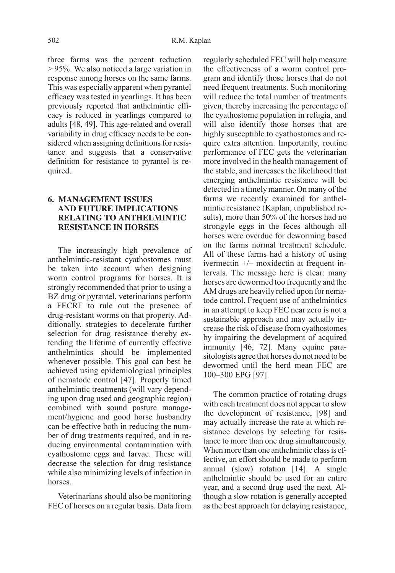three farms was the percent reduction > 95%. We also noticed a large variation in response among horses on the same farms. This was especially apparent when pyrantel efficacy was tested in yearlings. It has been previously reported that anthelmintic efficacy is reduced in yearlings compared to adults [48, 49]. This age-related and overall variability in drug efficacy needs to be considered when assigning definitions for resistance and suggests that a conservative definition for resistance to pyrantel is required.

## **6. MANAGEMENT ISSUES AND FUTURE IMPLICATIONS RELATING TO ANTHELMINTIC RESISTANCE IN HORSES**

The increasingly high prevalence of anthelmintic-resistant cyathostomes must be taken into account when designing worm control programs for horses. It is strongly recommended that prior to using a BZ drug or pyrantel, veterinarians perform a FECRT to rule out the presence of drug-resistant worms on that property. Additionally, strategies to decelerate further selection for drug resistance thereby extending the lifetime of currently effective anthelmintics should be implemented whenever possible. This goal can best be achieved using epidemiological principles of nematode control [47]. Properly timed anthelmintic treatments (will vary depending upon drug used and geographic region) combined with sound pasture management/hygiene and good horse husbandry can be effective both in reducing the number of drug treatments required, and in reducing environmental contamination with cyathostome eggs and larvae. These will decrease the selection for drug resistance while also minimizing levels of infection in horses.

Veterinarians should also be monitoring FEC of horses on a regular basis. Data from

regularly scheduled FEC will help measure the effectiveness of a worm control program and identify those horses that do not need frequent treatments. Such monitoring will reduce the total number of treatments given, thereby increasing the percentage of the cyathostome population in refugia, and will also identify those horses that are highly susceptible to cyathostomes and require extra attention. Importantly, routine performance of FEC gets the veterinarian more involved in the health management of the stable, and increases the likelihood that emerging anthelmintic resistance will be detected in a timely manner. On many of the farms we recently examined for anthelmintic resistance (Kaplan, unpublished results), more than 50% of the horses had no strongyle eggs in the feces although all horses were overdue for deworming based on the farms normal treatment schedule. All of these farms had a history of using ivermectin +/– moxidectin at frequent intervals. The message here is clear: many horses are dewormed too frequently and the AM drugs are heavily relied upon for nematode control. Frequent use of anthelmintics in an attempt to keep FEC near zero is not a sustainable approach and may actually increase the risk of disease from cyathostomes by impairing the development of acquired immunity [46, 72]. Many equine parasitologists agree that horses do not need to be dewormed until the herd mean FEC are 100–300 EPG [97].

The common practice of rotating drugs with each treatment does not appear to slow the development of resistance, [98] and may actually increase the rate at which resistance develops by selecting for resistance to more than one drug simultaneously. When more than one anthelmintic class is effective, an effort should be made to perform annual (slow) rotation [14]. A single anthelmintic should be used for an entire year, and a second drug used the next. Although a slow rotation is generally accepted as the best approach for delaying resistance,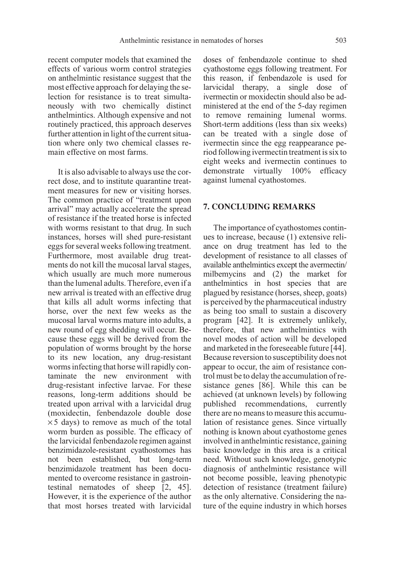recent computer models that examined the effects of various worm control strategies on anthelmintic resistance suggest that the most effective approach for delaying the selection for resistance is to treat simultaneously with two chemically distinct anthelmintics. Although expensive and not routinely practiced, this approach deserves further attention in light of the current situation where only two chemical classes remain effective on most farms.

It is also advisable to always use the correct dose, and to institute quarantine treatment measures for new or visiting horses. The common practice of "treatment upon arrival" may actually accelerate the spread of resistance if the treated horse is infected with worms resistant to that drug. In such instances, horses will shed pure-resistant eggs for several weeks following treatment. Furthermore, most available drug treatments do not kill the mucosal larval stages, which usually are much more numerous than the lumenal adults. Therefore, even if a new arrival is treated with an effective drug that kills all adult worms infecting that horse, over the next few weeks as the mucosal larval worms mature into adults, a new round of egg shedding will occur. Because these eggs will be derived from the population of worms brought by the horse to its new location, any drug-resistant worms infecting that horse will rapidly contaminate the new environment with drug-resistant infective larvae. For these reasons, long-term additions should be treated upon arrival with a larvicidal drug (moxidectin, fenbendazole double dose  $\times$  5 days) to remove as much of the total worm burden as possible. The efficacy of the larvicidal fenbendazole regimen against benzimidazole-resistant cyathostomes has not been established, but long-term benzimidazole treatment has been documented to overcome resistance in gastrointestinal nematodes of sheep [2, 45]. However, it is the experience of the author that most horses treated with larvicidal

doses of fenbendazole continue to shed cyathostome eggs following treatment. For this reason, if fenbendazole is used for larvicidal therapy, a single dose of ivermectin or moxidectin should also be administered at the end of the 5-day regimen to remove remaining lumenal worms. Short-term additions (less than six weeks) can be treated with a single dose of ivermectin since the egg reappearance period following ivermectin treatment is six to eight weeks and ivermectin continues to demonstrate virtually 100% efficacy against lumenal cyathostomes.

#### **7. CONCLUDING REMARKS**

The importance of cyathostomes continues to increase, because (1) extensive reliance on drug treatment has led to the development of resistance to all classes of available anthelmintics except the avermectin/ milbemycins and (2) the market for anthelmintics in host species that are plagued by resistance (horses, sheep, goats) is perceived by the pharmaceutical industry as being too small to sustain a discovery program [42]. It is extremely unlikely, therefore, that new anthelmintics with novel modes of action will be developed and marketed in the foreseeable future [44]. Because reversion to susceptibility does not appear to occur, the aim of resistance control must be to delay the accumulation of resistance genes [86]. While this can be achieved (at unknown levels) by following published recommendations, currently there are no means to measure this accumulation of resistance genes. Since virtually nothing is known about cyathostome genes involved in anthelmintic resistance, gaining basic knowledge in this area is a critical need. Without such knowledge, genotypic diagnosis of anthelmintic resistance will not become possible, leaving phenotypic detection of resistance (treatment failure) as the only alternative. Considering the nature of the equine industry in which horses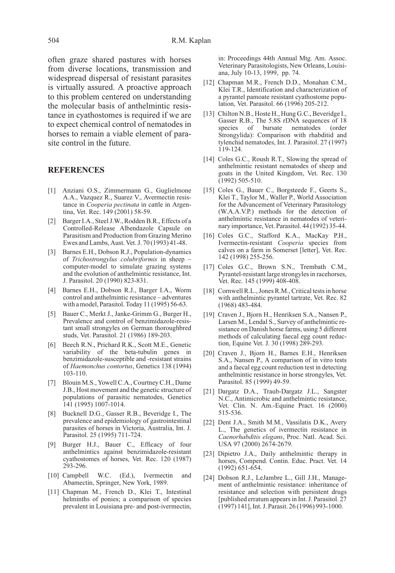often graze shared pastures with horses from diverse locations, transmission and widespread dispersal of resistant parasites is virtually assured. A proactive approach to this problem centered on understanding the molecular basis of anthelmintic resistance in cyathostomes is required if we are to expect chemical control of nematodes in horses to remain a viable element of parasite control in the future.

#### **REFERENCES**

- [1] Anziani O.S., Zimmermann G., Guglielmone A.A., Vazquez R., Suarez V., Avermectin resistance in Cooperia pectinata in cattle in Argentina, Vet. Rec. 149 (2001) 58-59.
- [2] Barger I.A., Steel J.W., Rodden B.R., Effects of a Controlled-Release Albendazole Capsule on Parasitism and Production from Grazing Merino Ewes and Lambs, Aust. Vet. J. 70 (1993) 41-48.
- [3] Barnes E.H., Dobson R.J., Population-dynamics of Trichostrongylus colubriformis in sheep – computer-model to simulate grazing systems and the evolution of anthelmintic resistance, Int. J. Parasitol. 20 (1990) 823-831.
- [4] Barnes E.H., Dobson R.J., Barger I.A., Worm control and anthelmintic resistance – adventures with a model, Parasitol. Today 11 (1995) 56-63.
- [5] Bauer C., Merkt J., Janke-Grimm G., Burger H., Prevalence and control of benzimidazole-resistant small strongyles on German thoroughbred studs, Vet. Parasitol. 21 (1986) 189-203.
- [6] Beech R.N., Prichard R.K., Scott M.E., Genetic variability of the beta-tubulin genes in benzimidazole-susceptible and -resistant strains of Haemonchus contortus, Genetics 138 (1994) 103-110.
- [7] Blouin M.S., Yowell C.A., Courtney C.H., Dame J.B., Host movement and the genetic structure of populations of parasitic nematodes, Genetics 141 (1995) 1007-1014.
- [8] Bucknell D.G., Gasser R.B., Beveridge I., The prevalence and epidemiology of gastrointestinal parasites of horses in Victoria, Australia, Int. J. Parasitol. 25 (1995) 711-724.
- [9] Burger H.J., Bauer C., Efficacy of four anthelmintics against benzimidazole-resistant cyathostomes of horses, Vet. Rec. 120 (1987) 293-296.
- [10] Campbell W.C. (Ed.), Ivermectin and Abamectin, Springer, New York, 1989.
- [11] Chapman M., French D., Klei T., Intestinal helminths of ponies; a comparison of species prevalent in Louisiana pre- and post-ivermectin,

in: Proceedings 44th Annual Mtg. Am. Assoc. Veterinary Parasitologists, New Orleans, Louisiana, July 10-13, 1999, pp. 74.

- [12] Chapman M.R., French D.D., Monahan C.M., Klei T.R., Identification and characterization of a pyrantel pamoate resistant cyathostome population, Vet. Parasitol. 66 (1996) 205-212.
- [13] Chilton N.B., Hoste H., Hung G.C., Beveridge I., Gasser R.B., The 5.8S rDNA sequences of 18<br>species of bursate nematodes (order bursate nematodes Strongylida): Comparison with rhabditid and tylenchid nematodes, Int. J. Parasitol. 27 (1997) 119-124.
- [14] Coles G.C., Roush R.T., Slowing the spread of anthelmintic resistant nematodes of sheep and goats in the United Kingdom, Vet. Rec. 130 (1992) 505-510.
- [15] Coles G., Bauer C., Borgsteede F., Geerts S., Klei T., Taylor M., Waller P., World Association for the Advancement of Veterinary Parasitology (W.A.A.V.P.) methods for the detection of anthelmintic resistance in nematodes of veterinary importance, Vet. Parasitol. 44 (1992) 35-44.
- [16] Coles G.C., Stafford K.A., MacKay P.H., Ivermectin-resistant Cooperia species from calves on a farm in Somerset [letter], Vet. Rec. 142 (1998) 255-256.
- [17] Coles G.C., Brown S.N., Trembath C.M., Pyrantel-resistant large strongyles in racehorses, Vet. Rec. 145 (1999) 408-408.
- [18] Cornwell R.L., Jones R.M., Critical tests in horse with anthelmintic pyrantel tartrate, Vet. Rec. 82 (1968) 483-484.
- [19] Craven J., Bjorn H., Henriksen S.A., Nansen P., Larsen M., Lendal S., Survey of anthelmintic resistance on Danish horse farms, using 5 different methods of calculating faecal egg count reduction, Equine Vet. J. 30 (1998) 289-293.
- [20] Craven J., Bjorn H., Barnes E.H., Henriksen S.A., Nansen P., A comparison of in vitro tests and a faecal egg count reduction test in detecting anthelmintic resistance in horse strongyles, Vet. Parasitol. 85 (1999) 49-59.
- [21] Dargatz D.A., Traub-Dargatz J.L., Sangster N.C., Antimicrobic and anthelmintic resistance, Vet. Clin. N. Am.-Equine Pract. 16 (2000) 515-536.
- [22] Dent J.A., Smith M.M., Vassilatis D.K., Avery L., The genetics of ivermectin resistance in Caenorhabditis elegans, Proc. Natl. Acad. Sci. USA 97 (2000) 2674-2679.
- [23] Dipietro J.A., Daily anthelmintic therapy in horses, Compend. Contin. Educ. Pract. Vet. 14 (1992) 651-654.
- [24] Dobson R.J., LeJambre L., Gill J.H., Management of anthelmintic resistance: inheritance of resistance and selection with persistent drugs [published erratum appears in Int. J. Parasitol. 27 (1997) 141], Int. J. Parasit. 26 (1996) 993-1000.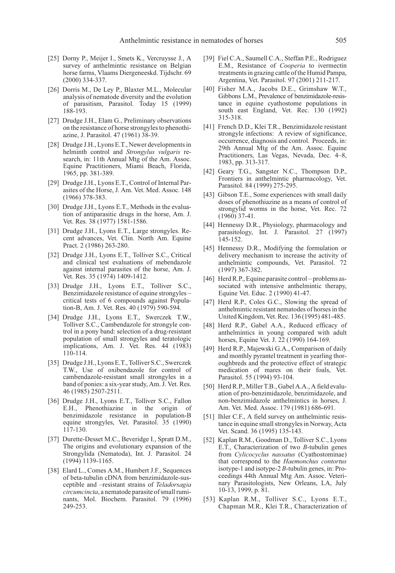- [25] Dorny P., Meijer I., Smets K., Vercruysse J., A survey of anthelmintic resistance on Belgian horse farms, Vlaams Diergeneeskd. Tijdschr. 69 (2000) 334-337.
- [26] Dorris M., De Ley P., Blaxter M.L., Molecular analysis of nematode diversity and the evolution of parasitism, Parasitol. Today 15 (1999) 188-193.
- [27] Drudge J.H., Elam G., Preliminary observations on the resistance of horse strongyles to phenothiazine, J. Parasitol. 47 (1961) 38-39.
- [28] Drudge J.H., Lyons E.T., Newer developments in helminth control and Strongylus vulgaris research, in: 11th Annual Mtg of the Am. Assoc. Equine Practitioners, Miami Beach, Florida, 1965, pp. 381-389.
- [29] Drudge J.H., Lyons E.T., Control of Internal Parasites of the Horse, J. Am. Vet. Med. Assoc. 148 (1966) 378-383.
- [30] Drudge J.H., Lyons E.T., Methods in the evaluation of antiparasitic drugs in the horse, Am. J. Vet. Res. 38 (1977) 1581-1586.
- [31] Drudge J.H., Lyons E.T., Large strongyles. Recent advances, Vet. Clin. North Am. Equine Pract. 2 (1986) 263-280.
- [32] Drudge J.H., Lyons E.T., Tolliver S.C., Critical and clinical test evaluations of mebendazole against internal parasites of the horse, Am. J. Vet. Res. 35 (1974) 1409-1412.
- [33] Drudge J.H., Lyons E.T., Tolliver S.C., Benzimidazole resistance of equine strongyles – critical tests of 6 compounds against Population-B, Am. J. Vet. Res. 40 (1979) 590-594.
- [34] Drudge J.H., Lyons E.T., Swerczek T.W., Tolliver S.C., Cambendazole for strongyle control in a pony band: selection of a drug-resistant population of small strongyles and teratologic implications, Am. J. Vet. Res. 44 (1983) 110-114.
- [35] Drudge J.H., Lyons E.T., Tolliver S.C., Swerczek T.W., Use of oxibendazole for control of cambendazole-resistant small strongyles in a band of ponies: a six-year study, Am. J. Vet. Res. 46 (1985) 2507-2511.
- [36] Drudge J.H., Lyons E.T., Tolliver S.C., Fallon E.H., Phenothiazine in the origin of benzimidazole resistance in population-B equine strongyles, Vet. Parasitol. 35 (1990) 117-130.
- [37] Durette-Desset M.C., Beveridge I., Spratt D.M., The origins and evolutionary expansion of the Strongylida (Nematoda), Int. J. Parasitol. 24 (1994) 1139-1165.
- [38] Elard L., Comes A.M., Humbert J.F., Sequences of beta-tubulin cDNA from benzimidazole-susceptible and –resistant strains of Teladorsagia circumcincta, a nematode parasite of small ruminants, Mol. Biochem. Parasitol. 79 (1996) 249-253.
- [39] Fiel C.A., Saumell C.A., Steffan P.E., Rodriguez E.M., Resistance of Cooperia to ivermectin treatments in grazing cattle of the Humid Pampa, Argentina, Vet. Parasitol. 97 (2001) 211-217.
- [40] Fisher M.A., Jacobs D.E., Grimshaw W.T., Gibbons L.M., Prevalence of benzimidazole-resistance in equine cyathostome populations in south east England, Vet. Rec. 130 (1992) 315-318.
- [41] French D.D., Klei T.R., Benzimidazole resistant strongyle infections: A review of significance, occurrence, diagnosis and control. Proceeds, in: 29th Annual Mtg of the Am. Assoc. Equine Practitioners, Las Vegas, Nevada, Dec. 4–8, 1983, pp. 313-317.
- [42] Geary T.G., Sangster N.C., Thompson D.P., Frontiers in anthelmintic pharmacology, Vet. Parasitol. 84 (1999) 275-295.
- [43] Gibson T.E., Some experiences with small daily doses of phenothiazine as a means of control of strongylid worms in the horse, Vet. Rec. 72 (1960) 37-41.
- [44] Hennessy D.R., Physiology, pharmacology and parasitology, Int. J. Parasitol. 27 (1997) 145-152.
- [45] Hennessy D.R., Modifying the formulation or delivery mechanism to increase the activity of anthelmintic compounds, Vet. Parasitol. 72 (1997) 367-382.
- [46] Herd R.P., Equine parasite control problems associated with intensive anthelmintic therapy, Equine Vet. Educ. 2 (1990) 41-47.
- [47] Herd R.P., Coles G.C., Slowing the spread of anthelmintic resistant nematodes of horses in the United Kingdom, Vet. Rec. 136 (1995) 481-485.
- [48] Herd R.P., Gabel A.A., Reduced efficacy of anthelmintics in young compared with adult horses, Equine Vet. J. 22 (1990) 164-169.
- [49] Herd R.P., Majewski G.A., Comparison of daily and monthly pyrantel treatment in yearling thoroughbreds and the protective effect of strategic medication of mares on their foals, Vet. Parasitol. 55 (1994) 93-104.
- [50] Herd R.P., Miller T.B., Gabel A.A., A field evaluation of pro-benzimidazole, benzimidazole, and non-benzimidazole anthelmintics in horses, J. Am. Vet. Med. Assoc. 179 (1981) 686-691.
- [51] Ihler C.F., A field survey on anthelmintic resistance in equine small strongyles in Norway, Acta Vet. Scand. 36 (1995) 135-143.
- [52] Kaplan R.M., Goodman D., Tolliver S.C., Lyons E.T., Characterization of two B-tubulin genes from Cylicocyclus nassatus (Cyathostominae) that correspond to the Haemonchus contortus isotype-1 and isotype-2  $B$ -tubulin genes, in: Proceedings 44th Annual Mtg Am. Assoc. Veterinary Parasitologists, New Orleans, LA, July 10-13, 1999, p. 81.
- [53] Kaplan R.M., Tolliver S.C., Lyons E.T., Chapman M.R., Klei T.R., Characterization of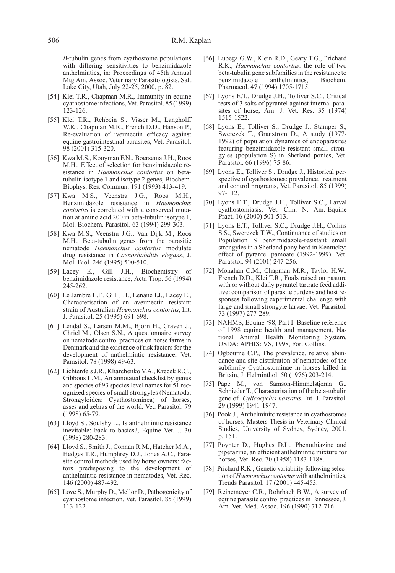B-tubulin genes from cyathostome populations with differing sensitivities to benzimidazole anthelmintics, in: Proceedings of 45th Annual Mtg Am. Assoc. Veterinary Parasitologists, Salt Lake City, Utah, July 22-25, 2000, p. 82.

- [54] Klei T.R., Chapman M.R., Immunity in equine cyathostome infections, Vet. Parasitol. 85 (1999) 123-126.
- [55] Klei T.R., Rehbein S., Visser M., Langholff W.K., Chapman M.R., French D.D., Hanson P., Re-evaluation of ivermectin efficacy against equine gastrointestinal parasites, Vet. Parasitol. 98 (2001) 315-320.
- [56] Kwa M.S., Kooyman F.N., Boersema J.H., Roos M.H., Effect of selection for benzimidazole resistance in Haemonchus contortus on betatubulin isotype 1 and isotype 2 genes, Biochem. Biophys. Res. Commun. 191 (1993) 413-419.
- [57] Kwa M.S., Veenstra J.G., Roos M.H., Benzimidazole resistance in Haemonchus contortus is correlated with a conserved mutation at amino acid 200 in beta-tubulin isotype 1, Mol. Biochem. Parasitol. 63 (1994) 299-303.
- [58] Kwa M.S., Veenstra J.G., Van Dijk M., Roos M.H., Beta-tubulin genes from the parasitic nematode Haemonchus contortus modulate drug resistance in Caenorhabditis elegans, J. Mol. Biol. 246 (1995) 500-510.
- [59] Lacey E., Gill J.H., Biochemistry of benzimidazole resistance, Acta Trop. 56 (1994) 245-262.
- [60] Le Jambre L.F., Gill J.H., Lenane I.J., Lacey E., Characterisation of an avermectin resistant strain of Australian Haemonchus contortus, Int. J. Parasitol. 25 (1995) 691-698.
- [61] Lendal S., Larsen M.M., Bjorn H., Craven J., Chriel M., Olsen S.N., A questionnaire survey on nematode control practices on horse farms in Denmark and the existence of risk factors for the development of anthelmintic resistance, Vet. Parasitol. 78 (1998) 49-63.
- [62] Lichtenfels J.R., Kharchenko V.A., Krecek R.C., Gibbons L.M., An annotated checklist by genus and species of 93 species level names for 51 recognized species of small strongyles (Nematoda: Strongyloidea: Cyathostominea) of horses, asses and zebras of the world, Vet. Parasitol. 79 (1998) 65-79.
- [63] Lloyd S., Soulsby L., Is anthelmintic resistance inevitable: back to basics?, Equine Vet. J. 30 (1998) 280-283.
- [64] Lloyd S., Smith J., Connan R.M., Hatcher M.A., Hedges T.R., Humphrey D.J., Jones A.C., Parasite control methods used by horse owners: factors predisposing to the development of anthelmintic resistance in nematodes, Vet. Rec. 146 (2000) 487-492.
- [65] Love S., Murphy D., Mellor D., Pathogenicity of cyathostome infection, Vet. Parasitol. 85 (1999) 113-122.
- [66] Lubega G.W., Klein R.D., Geary T.G., Prichard R.K., Haemonchus contortus: the role of two beta-tubulin gene subfamilies in the resistance to<br>benzimidazole anthelmintics, Biochem. benzimidazole Pharmacol. 47 (1994) 1705-1715.
- [67] Lyons E.T., Drudge J.H., Tolliver S.C., Critical tests of 3 salts of pyrantel against internal parasites of horse, Am. J. Vet. Res. 35 (1974) 1515-1522.
- [68] Lyons E., Tolliver S., Drudge J., Stamper S., Swerczek T., Granstrom D., A study (1977- 1992) of population dynamics of endoparasites featuring benzimidazole-resistant small strongyles (population S) in Shetland ponies, Vet. Parasitol. 66 (1996) 75-86.
- [69] Lyons E., Tolliver S., Drudge J., Historical perspective of cyathostomes: prevalence, treatment and control programs, Vet. Parasitol. 85 (1999) 97-112.
- [70] Lyons E.T., Drudge J.H., Tolliver S.C., Larval cyathostomiasis, Vet. Clin. N. Am.-Equine Pract. 16 (2000) 501-513.
- [71] Lyons E.T., Tolliver S.C., Drudge J.H., Collins S.S., Swerczek T.W., Continuance of studies on Population S benzimidazole-resistant small strongyles in a Shetland pony herd in Kentucky: effect of pyrantel pamoate (1992-1999), Vet. Parasitol. 94 (2001) 247-256.
- [72] Monahan C.M., Chapman M.R., Taylor H.W., French D.D., Klei T.R., Foals raised on pasture with or without daily pyrantel tartrate feed additive: comparison of parasite burdens and host responses following experimental challenge with large and small strongyle larvae, Vet. Parasitol. 73 (1997) 277-289.
- [73] NAHMS, Equine '98, Part I: Baseline reference of 1998 equine health and management, National Animal Health Monitoring System, USDA: APHIS: VS, 1998, Fort Collins.
- [74] Ogbourne C.P., The prevalence, relative abundance and site distribution of nematodes of the subfamily Cyathostominae in horses killed in Britain, J. Helminthol. 50 (1976) 203-214.
- [75] Pape M., von Samson-Himmelstjerna G., Schnieder T., Characterisation of the beta-tubulin gene of Cylicocyclus nassatus, Int. J. Parasitol. 29 (1999) 1941-1947.
- [76] Pook J., Anthelminitc resistance in cyathostomes of horses. Masters Thesis in Veterinary Clinical Studies, University of Sydney, Sydney, 2001, p. 151.
- [77] Poynter D., Hughes D.L., Phenothiazine and piperazine, an efficient anthelmintic mixture for horses, Vet. Rec. 70 (1958) 1183-1188.
- [78] Prichard R.K., Genetic variability following selection of Haemonchus contortus with anthelmintics, Trends Parasitol. 17 (2001) 445-453.
- [79] Reinemeyer C.R., Rohrbach B.W., A survey of equine parasite control practices in Tennessee, J. Am. Vet. Med. Assoc. 196 (1990) 712-716.